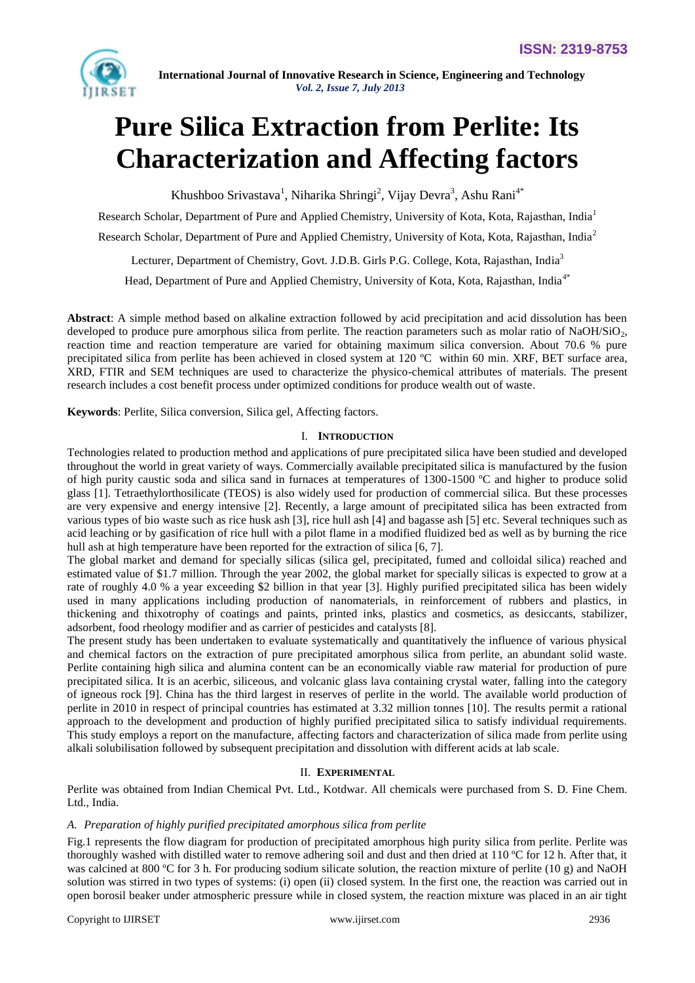

# **Pure Silica Extraction from Perlite: Its Characterization and Affecting factors**

Khushboo Srivastava<sup>1</sup>, Niharika Shringi<sup>2</sup>, Vijay Devra<sup>3</sup>, Ashu Rani<sup>4\*</sup>

Research Scholar, Department of Pure and Applied Chemistry, University of Kota, Kota, Rajasthan, India<sup>1</sup>

Research Scholar, Department of Pure and Applied Chemistry, University of Kota, Kota, Rajasthan, India<sup>2</sup>

Lecturer, Department of Chemistry, Govt. J.D.B. Girls P.G. College, Kota, Rajasthan, India<sup>3</sup>

Head, Department of Pure and Applied Chemistry, University of Kota, Kota, Rajasthan, India<sup>4\*</sup>

**Abstract**: A simple method based on alkaline extraction followed by acid precipitation and acid dissolution has been developed to produce pure amorphous silica from perlite. The reaction parameters such as molar ratio of NaOH/SiO $_2$ , reaction time and reaction temperature are varied for obtaining maximum silica conversion. About 70.6 % pure precipitated silica from perlite has been achieved in closed system at 120 ºC within 60 min. XRF, BET surface area, XRD, FTIR and SEM techniques are used to characterize the physico-chemical attributes of materials. The present research includes a cost benefit process under optimized conditions for produce wealth out of waste.

**Keywords**: Perlite, Silica conversion, Silica gel, Affecting factors.

# I. **INTRODUCTION**

Technologies related to production method and applications of pure precipitated silica have been studied and developed throughout the world in great variety of ways. Commercially available precipitated silica is manufactured by the fusion of high purity caustic soda and silica sand in furnaces at temperatures of 1300-1500 ºC and higher to produce solid glass [1]. Tetraethylorthosilicate (TEOS) is also widely used for production of commercial silica. But these processes are very expensive and energy intensive [2]. Recently, a large amount of precipitated silica has been extracted from various types of bio waste such as rice husk ash [3], rice hull ash [4] and bagasse ash [5] etc. Several techniques such as acid leaching or by gasification of rice hull with a pilot flame in a modified fluidized bed as well as by burning the rice hull ash at high temperature have been reported for the extraction of silica [6, 7].

The global market and demand for specially silicas (silica gel, precipitated, fumed and colloidal silica) reached and estimated value of \$1.7 million. Through the year 2002, the global market for specially silicas is expected to grow at a rate of roughly 4.0 % a year exceeding \$2 billion in that year [3]. Highly purified precipitated silica has been widely used in many applications including production of nanomaterials, in reinforcement of rubbers and plastics, in thickening and thixotrophy of coatings and paints, printed inks, plastics and cosmetics, as desiccants, stabilizer, adsorbent, food rheology modifier and as carrier of pesticides and catalysts [8].

The present study has been undertaken to evaluate systematically and quantitatively the influence of various physical and chemical factors on the extraction of pure precipitated amorphous silica from perlite, an abundant solid waste. Perlite containing high silica and alumina content can be an economically viable raw material for production of pure precipitated silica. It is an acerbic, siliceous, and volcanic glass lava containing crystal water, falling into the category of igneous rock [9]. China has the third largest in reserves of perlite in the world. The available world production of perlite in 2010 in respect of principal countries has estimated at 3.32 million tonnes [10]. The results permit a rational approach to the development and production of highly purified precipitated silica to satisfy individual requirements. This study employs a report on the manufacture, affecting factors and characterization of silica made from perlite using alkali solubilisation followed by subsequent precipitation and dissolution with different acids at lab scale.

# II. **EXPERIMENTAL**

Perlite was obtained from Indian Chemical Pvt. Ltd., Kotdwar. All chemicals were purchased from S. D. Fine Chem. Ltd., India.

# *A. Preparation of highly purified precipitated amorphous silica from perlite*

Fig.1 represents the flow diagram for production of precipitated amorphous high purity silica from perlite. Perlite was thoroughly washed with distilled water to remove adhering soil and dust and then dried at  $110\degree C$  for 12 h. After that, it was calcined at 800 °C for 3 h. For producing sodium silicate solution, the reaction mixture of perlite (10 g) and NaOH solution was stirred in two types of systems: (i) open (ii) closed system. In the first one, the reaction was carried out in open borosil beaker under atmospheric pressure while in closed system, the reaction mixture was placed in an air tight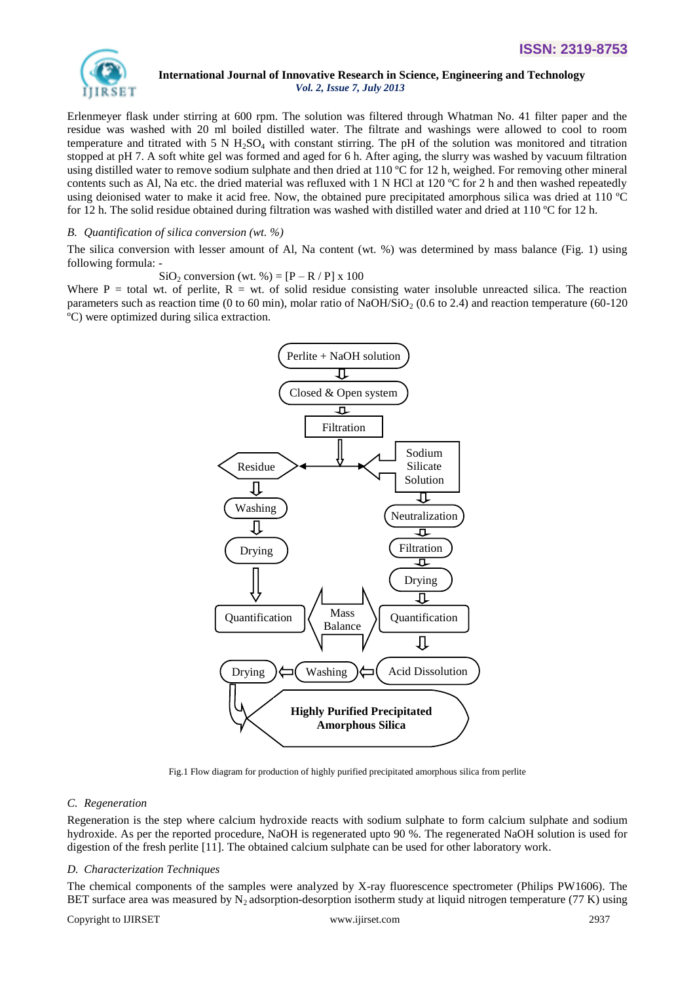

Erlenmeyer flask under stirring at 600 rpm. The solution was filtered through Whatman No. 41 filter paper and the residue was washed with 20 ml boiled distilled water. The filtrate and washings were allowed to cool to room temperature and titrated with 5 N  $H_2SO_4$  with constant stirring. The pH of the solution was monitored and titration stopped at pH 7. A soft white gel was formed and aged for 6 h. After aging, the slurry was washed by vacuum filtration using distilled water to remove sodium sulphate and then dried at 110 ºC for 12 h, weighed. For removing other mineral contents such as Al, Na etc. the dried material was refluxed with 1 N HCl at 120  $^{\circ}$ C for 2 h and then washed repeatedly using deionised water to make it acid free. Now, the obtained pure precipitated amorphous silica was dried at 110 ºC for 12 h. The solid residue obtained during filtration was washed with distilled water and dried at 110 °C for 12 h.

#### *B. Quantification of silica conversion (wt. %)*

The silica conversion with lesser amount of Al, Na content (wt. %) was determined by mass balance (Fig. 1) using following formula: -

SiO<sub>2</sub> conversion (wt. %) =  $[P - R / P] \times 100$ 

Where  $P =$  total wt. of perlite,  $R = wt$ . of solid residue consisting water insoluble unreacted silica. The reaction parameters such as reaction time (0 to 60 min), molar ratio of NaOH/SiO<sub>2</sub> (0.6 to 2.4) and reaction temperature (60-120 ºC) were optimized during silica extraction.



Fig.1 Flow diagram for production of highly purified precipitated amorphous silica from perlite

## *C. Regeneration*

Regeneration is the step where calcium hydroxide reacts with sodium sulphate to form calcium sulphate and sodium hydroxide. As per the reported procedure, NaOH is regenerated upto 90 %. The regenerated NaOH solution is used for digestion of the fresh perlite [11]. The obtained calcium sulphate can be used for other laboratory work.

## *D. Characterization Techniques*

The chemical components of the samples were analyzed by X-ray fluorescence spectrometer (Philips PW1606). The BET surface area was measured by  $N_2$  adsorption-desorption isotherm study at liquid nitrogen temperature (77 K) using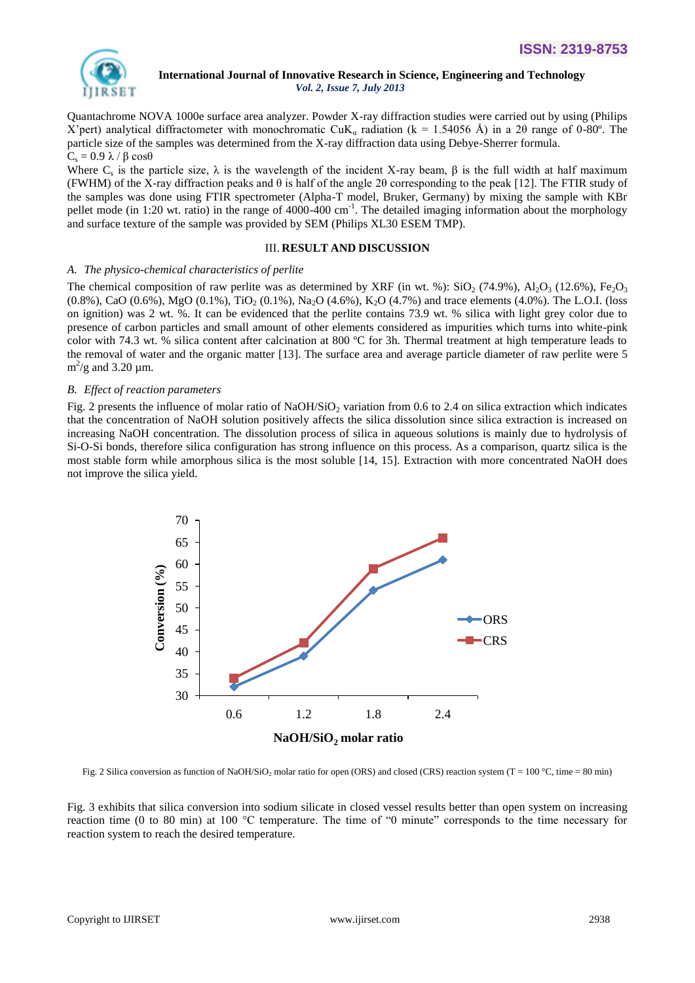

Quantachrome NOVA 1000e surface area analyzer. Powder X-ray diffraction studies were carried out by using (Philips X'pert) analytical diffractometer with monochromatic CuK<sub>a</sub> radiation (k = 1.54056 Å) in a 20 range of 0-80°. The particle size of the samples was determined from the X-ray diffraction data using Debye-Sherrer formula.  $C_s = 0.9 \lambda / \beta \cos\theta$ 

Where  $C_s$  is the particle size,  $\lambda$  is the wavelength of the incident X-ray beam,  $\beta$  is the full width at half maximum (FWHM) of the X-ray diffraction peaks and  $\theta$  is half of the angle 2 $\theta$  corresponding to the peak [12]. The FTIR study of the samples was done using FTIR spectrometer (Alpha-T model, Bruker, Germany) by mixing the sample with KBr pellet mode (in 1:20 wt. ratio) in the range of 4000-400 cm<sup>-1</sup>. The detailed imaging information about the morphology and surface texture of the sample was provided by SEM (Philips XL30 ESEM TMP).

#### III. **RESULT AND DISCUSSION**

#### *A. The physico-chemical characteristics of perlite*

The chemical composition of raw perlite was as determined by XRF (in wt. %):  $SiO_2$  (74.9%),  $Al_2O_3$  (12.6%),  $Fe_2O_3$  $(0.8\%)$ , CaO  $(0.6\%)$ , MgO  $(0.1\%)$ , TiO<sub>2</sub>  $(0.1\%)$ , Na<sub>2</sub>O  $(4.6\%)$ , K<sub>2</sub>O  $(4.7\%)$  and trace elements  $(4.0\%)$ . The L.O.I. (loss on ignition) was 2 wt. %. It can be evidenced that the perlite contains 73.9 wt. % silica with light grey color due to presence of carbon particles and small amount of other elements considered as impurities which turns into white-pink color with 74.3 wt. % silica content after calcination at 800 ºC for 3h. Thermal treatment at high temperature leads to the removal of water and the organic matter [13]. The surface area and average particle diameter of raw perlite were 5  $\text{m}^2/\text{g}$  and 3.20 µm.

## *B. Effect of reaction parameters*

Fig. 2 presents the influence of molar ratio of NaOH/SiO<sub>2</sub> variation from 0.6 to 2.4 on silica extraction which indicates that the concentration of NaOH solution positively affects the silica dissolution since silica extraction is increased on increasing NaOH concentration. The dissolution process of silica in aqueous solutions is mainly due to hydrolysis of Si-O-Si bonds, therefore silica configuration has strong influence on this process. As a comparison, quartz silica is the most stable form while amorphous silica is the most soluble [14, 15]. Extraction with more concentrated NaOH does not improve the silica yield.



Fig. 2 Silica conversion as function of NaOH/SiO<sub>2</sub> molar ratio for open (ORS) and closed (CRS) reaction system (T = 100 °C, time = 80 min)

Fig. 3 exhibits that silica conversion into sodium silicate in closed vessel results better than open system on increasing reaction time (0 to 80 min) at 100 °C temperature. The time of "0 minute" corresponds to the time necessary for reaction system to reach the desired temperature.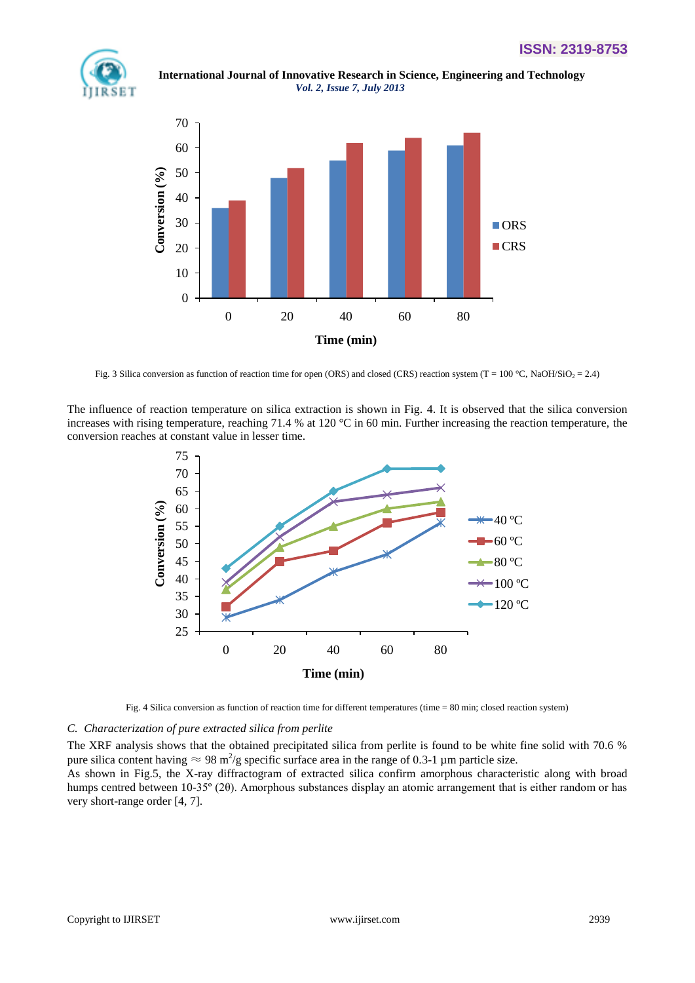

 **International Journal of Innovative Research in Science, Engineering and Technology** *Vol. 2, Issue 7, July 2013*



Fig. 3 Silica conversion as function of reaction time for open (ORS) and closed (CRS) reaction system (T = 100 °C, NaOH/SiO<sub>2</sub> = 2.4)

The influence of reaction temperature on silica extraction is shown in Fig. 4. It is observed that the silica conversion increases with rising temperature, reaching 71.4 % at 120 °C in 60 min. Further increasing the reaction temperature, the conversion reaches at constant value in lesser time.



Fig. 4 Silica conversion as function of reaction time for different temperatures (time = 80 min; closed reaction system)

#### *C. Characterization of pure extracted silica from perlite*

The XRF analysis shows that the obtained precipitated silica from perlite is found to be white fine solid with 70.6 % pure silica content having  $\approx 98 \text{ m}^2/\text{g}$  specific surface area in the range of 0.3-1 µm particle size.

As shown in Fig.5, the X-ray diffractogram of extracted silica confirm amorphous characteristic along with broad humps centred between 10-35º (2θ). Amorphous substances display an atomic arrangement that is either random or has very short-range order [4, 7].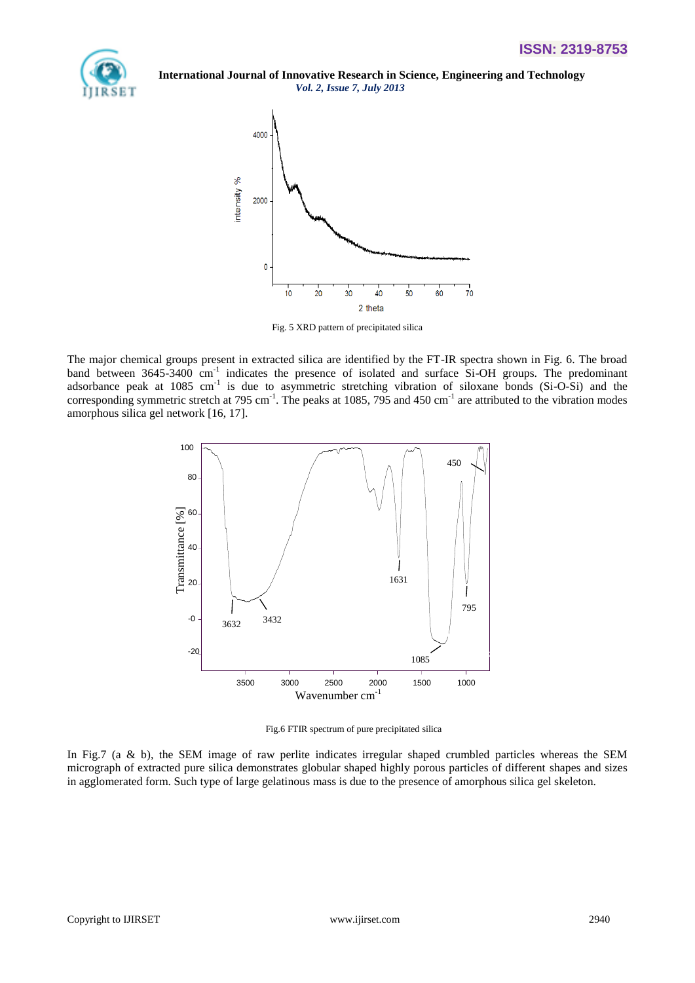



Fig. 5 XRD pattern of precipitated silica

The major chemical groups present in extracted silica are identified by the FT-IR spectra shown in Fig. 6. The broad band between 3645-3400 cm<sup>-1</sup> indicates the presence of isolated and surface Si-OH groups. The predominant adsorbance peak at 1085 cm<sup>-1</sup> is due to asymmetric stretching vibration of siloxane bonds (Si-O-Si) and the corresponding symmetric stretch at 795 cm<sup>-1</sup>. The peaks at 1085, 795 and 450 cm<sup>-1</sup> are attributed to the vibration modes amorphous silica gel network [16, 17].



Fig.6 FTIR spectrum of pure precipitated silica

In Fig.7 (a & b), the SEM image of raw perlite indicates irregular shaped crumbled particles whereas the SEM micrograph of extracted pure silica demonstrates globular shaped highly porous particles of different shapes and sizes in agglomerated form. Such type of large gelatinous mass is due to the presence of amorphous silica gel skeleton.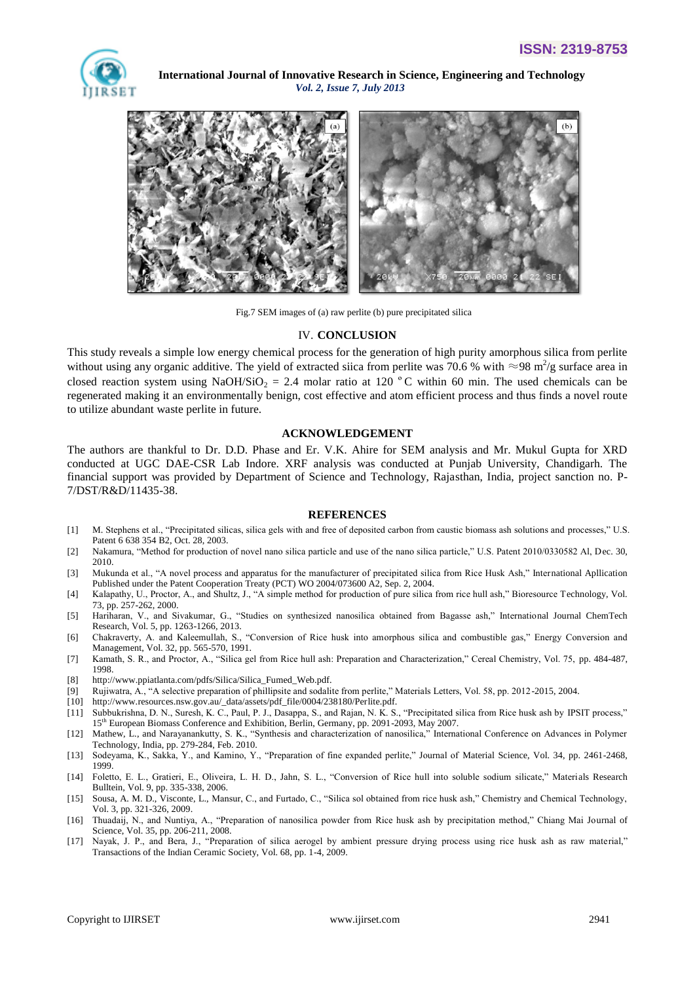



Fig.7 SEM images of (a) raw perlite (b) pure precipitated silica

#### IV. **CONCLUSION**

This study reveals a simple low energy chemical process for the generation of high purity amorphous silica from perlite without using any organic additive. The yield of extracted siica from perlite was 70.6 % with  $\approx$ 98 m<sup>2</sup>/g surface area in closed reaction system using NaOH/SiO<sub>2</sub> = 2.4 molar ratio at 120 °C within 60 min. The used chemicals can be regenerated making it an environmentally benign, cost effective and atom efficient process and thus finds a novel route to utilize abundant waste perlite in future.

#### **ACKNOWLEDGEMENT**

The authors are thankful to Dr. D.D. Phase and Er. V.K. Ahire for SEM analysis and Mr. Mukul Gupta for XRD conducted at UGC DAE-CSR Lab Indore. XRF analysis was conducted at Punjab University, Chandigarh. The financial support was provided by Department of Science and Technology, Rajasthan, India, project sanction no. P-7/DST/R&D/11435-38.

#### **REFERENCES**

- [1] M. Stephens et al., "Precipitated silicas, silica gels with and free of deposited carbon from caustic biomass ash solutions and processes," U.S. Patent 6 638 354 B2, Oct. 28, 2003.
- [2] Nakamura, "Method for production of novel nano silica particle and use of the nano silica particle," U.S. Patent 2010/0330582 Al, Dec. 30, 2010.
- [3] Mukunda et al., "A novel process and apparatus for the manufacturer of precipitated silica from Rice Husk Ash," International Apllication Published under the Patent Cooperation Treaty (PCT) WO 2004/073600 A2, Sep. 2, 2004.
- [4] Kalapathy, U., Proctor, A., and Shultz, J., "A simple method for production of pure silica from rice hull ash," Bioresource Technology, Vol. 73, pp. 257-262, 2000.
- [5] Hariharan, V., and Sivakumar, G., "Studies on synthesized nanosilica obtained from Bagasse ash," International Journal ChemTech Research, Vol. 5, pp. 1263-1266, 2013.
- [6] Chakraverty, A. and Kaleemullah, S., "Conversion of Rice husk into amorphous silica and combustible gas," Energy Conversion and Management, Vol. 32, pp. 565-570, 1991.
- [7] Kamath, S. R., and Proctor, A., "Silica gel from Rice hull ash: Preparation and Characterization," Cereal Chemistry, Vol. 75, pp. 484-487, 1998.
- [8] http://www.ppiatlanta.com/pdfs/Silica/Silica\_Fumed\_Web.pdf.
- [9] Rujiwatra, A., "A selective preparation of phillipsite and sodalite from perlite," Materials Letters, Vol. 58, pp. 2012-2015, 2004.
- [10] http://www.resources.nsw.gov.au/\_data/assets/pdf\_file/0004/238180/Perlite.pdf.
- [11] Subbukrishna, D. N., Suresh, K. C., Paul, P. J., Dasappa, S., and Rajan, N. K. S., "Precipitated silica from Rice husk ash by IPSIT process," 15th European Biomass Conference and Exhibition, Berlin, Germany, pp. 2091-2093, May 2007.
- [12] Mathew, L., and Narayanankutty, S. K., "Synthesis and characterization of nanosilica," International Conference on Advances in Polymer Technology, India, pp. 279-284, Feb. 2010.
- [13] Sodeyama, K., Sakka, Y., and Kamino, Y., "Preparation of fine expanded perlite," Journal of Material Science, Vol. 34, pp. 2461-2468, 1999.
- [14] Foletto, E. L., Gratieri, E., Oliveira, L. H. D., Jahn, S. L., "Conversion of Rice hull into soluble sodium silicate," Materials Research Bulltein, Vol. 9, pp. 335-338, 2006.
- [15] Sousa, A. M. D., Visconte, L., Mansur, C., and Furtado, C., "Silica sol obtained from rice husk ash," Chemistry and Chemical Technology, Vol. 3, pp. 321-326, 2009.
- [16] Thuadaij, N., and Nuntiya, A., "Preparation of nanosilica powder from Rice husk ash by precipitation method," Chiang Mai Journal of Science, Vol. 35, pp. 206-211, 2008.
- [17] Nayak, J. P., and Bera, J., "Preparation of silica aerogel by ambient pressure drying process using rice husk ash as raw material," Transactions of the Indian Ceramic Society, Vol. 68, pp. 1-4, 2009.